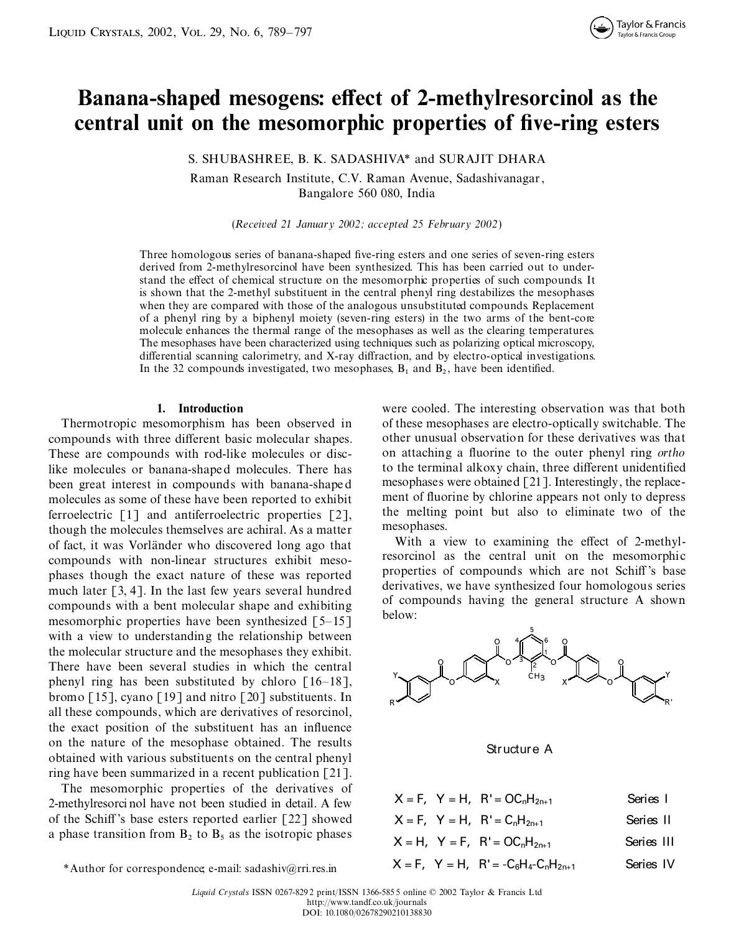# **Banana-shaped** mesogens: effect of 2-methylresorcinol as the **central unit on the mesomorphic properties of ve-ring esters**

S. SHUBASHREE, B. K. SADASHIVA\* and SURAJIT DHARA

Raman Research Institute, C.V. Raman Avenue, Sadashivanagar, Bangalore 560 080, India

(*Received 21 January 2002; accepted 25 February 2002*)

Three homologous series of banana-shaped five-ring esters and one series of seven-ring esters derived from 2-methylresorcinol have been synthesized. This has been carried out to under stand the effect of chemical structure on the mesomorphic properties of such compounds. It is shown that the 2-methyl substituent in the central phenyl ring destabilizes the mesophases when they are compared with those of the analogous unsubstituted compounds. Replacement of a phenyl ring by a biphenyl moiety (seven-ring esters) in the two arms of the bent-core molecule enhances the thermal range of the mesophases as well as the clearing temperatures. The mesophases have been characterized using techniques such as polarizing optical microscopy, differential scanning calorimetry, and X-ray diffraction, and by electro-optical investigations. In the 32 compounds investigated, two mesophases,  $B_1$  and  $B_2$ , have been identified.

compounds with three different basic molecular shapes. other unusual observation for these derivatives was that These are compounds with rod-like molecules or disc-<br>like molecules or banana-shaped molecules. There has to the terminal alkoxy chain, three different unidentified like molecules or banana-shaped molecules. There has to the terminal alkoxy chain, three different unidentified<br>head of the terminal alkoxy chain three different unidentified<br>head of the terminal alkoxy chained [21]. Inter been great interest in compounds with banana-shaped<br>molecules as some of these have been reported to exhibit ment of fluorine by chlorine appears not only to depress molecules as some of these have been reported to exhibit ment of fluorine by chlorine appears not only to depress ferroelectric [1] and antiferroelectric properties [2] the melting point but also to eliminate two of the ferroelectric  $[1]$  and antiferroelectric properties  $[2]$ , the melting though the melcules themselves are achiral. As a matter mesophases. though the molecules themselves are achiral. As a matter mesophases.<br>
With a view to examining the effect of 2-methyl-<br>
With a view to examining the effect of 2-methylof fact, it was Vorländer who discovered long ago that compounds with non-linear structures exhibit meso-<br>properties of compounds which are not Schiff's base<br>much later [3.4]. In the last few years exactl hundred derivatives, we have synthesized four homologous series much later  $[3, 4]$ . In the last few years several hundred compounds with a bent molecular shape and exhibiting  $\frac{60}{5}$  con mesomorphic properties have been synthesized  $\left[5-15\right]$ with a view to understanding the relationship between the molecular structure and the mesophases they exhibit. There have been several studies in which the central phenyl ring has been substituted by chloro  $\lceil 16-18 \rceil$ , bromo [15], cyano [19] and nitro [20] substituents. In all these compounds, which are derivatives of resorcinol, the exact position of the substituent has an influence on the nature of the mesophase obtained. The results obtained with various substituents on the central phenyl ring have been summarized in a recent publication [21].

The mesomorphic properties of the derivatives of 2-methylresorci nol have not been studied in detail. A few of the Schiff's base esters reported earlier  $[22]$  showed a phase transition from  $B_2$  to  $B_5$  as the isotropic phases

**1. Introduction** were cooled. The interesting observation was that both Thermotropic mesomorphism has been observed in of these mesophases are electro-optically switchable. The

> resorcinol as the central unit on the mesomorphic of compounds having the general structure A shown



Structure A

| $X = F$ , $Y = H$ , $R' = OC_nH_{2n+1}$          | Series I   |
|--------------------------------------------------|------------|
| $X = F$ , $Y = H$ , $R' = C_0H_{2n+1}$           | Series II  |
| $X = H$ , $Y = F$ , $R' = OC_nH_{2n+1}$          | Series III |
| $X = F$ , $Y = H$ , $R' = -C_6H_4 - C_1H_{2n+1}$ | Series IV  |

*L iquid Crystals* ISSN 0267-8292 print/ISSN 1366-585 5 online © 2002 Taylor & Francis Ltd http://www.tandf.co.uk/journals DOI: 10.1080/02678290210138830

<sup>\*</sup>Author for correspondence; e-mail: sadashiv@rri.res.in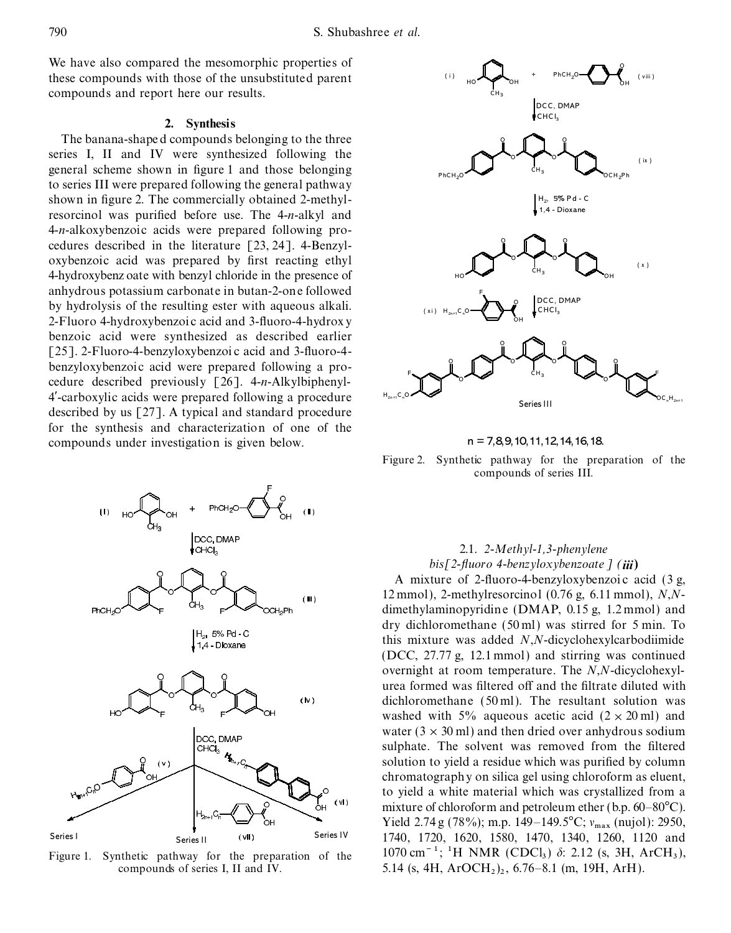We have also compared the mesomorphic properties of these compounds with those of the unsubstituted parent compounds and report here our results.

### **2. Synthesis**

The banana-shape d compounds belonging to the three series I, II and IV were synthesized following the general scheme shown in figure 1 and those belonging to series III were prepared following the general pathway shown in figure 2. The commercially obtained 2-methylresorcinol was purified before use. The 4-*n*-alkyl and 4-*n*-alkoxybenzoic acids were prepared following pro cedures described in the literature [23, 24]. 4-Benzyl oxybenzoic acid was prepared by first reacting ethyl 4-hydroxybenz oate with benzyl chloride in the presence of anhydrous potassium carbonate in butan-2-one followed by hydrolysis of the resulting ester with aqueous alkali. 2-Fluoro 4-hydroxybenzoi c acid and 3-fluoro-4-hydrox y benzoic acid were synthesized as described earlier [25]. 2-Fluoro-4-benzyloxybenzoi c acid and 3-fluoro-4benzyloxybenzoic acid were prepared following a pro cedure described previously [26]. 4-*n*-Alkylbiphenyl-4¾-carboxylic acids were prepared following a procedure described by us [27]. A typical and standard procedure for the synthesis and characterization of one of the compounds under investigation is given below.  $n = 7,8,9,10,11,12,14,16,18$ .



Figure 1. Synthetic pathway for the preparation of the compounds of series I, II and IV.



Figure 2. Synthetic pathway for the preparation of the compounds of series III.

## 2.1. *2-Methyl-1,3-phenylene bis[2- uoro 4-benzyloxybenzoate ] (iii***)**

A mixture of 2-fluoro-4-benzyloxybenzoic acid  $(3 g,$ 12 mmol), 2-methylresorcinol (0.76 g, 6.11 mmol), *N*,*N* dimethylaminopyridine (DMAP, 0.15 g, 1.2 mmol) and dry dichloromethane (50 ml) was stirred for 5 min. To this mixture was added *N*,*N*-dicyclohexylcarbodiimide (DCC, 27.77 g, 12.1 mmol) and stirring was continued overnight at room temperature. The *N*,*N*-dicyclohexylurea formed was filtered off and the filtrate diluted with dichloromethane (50 ml). The resultant solution was washed with 5% aqueous acetic acid  $(2 \times 20 \text{ ml})$  and water ( $3 \times 30$  ml) and then dried over anhydrous sodium sulphate. The solvent was removed from the filtered solution to yield a residue which was purified by column chromatography on silica gel using chloroform as eluent, to yield a white material which was crystallized from a mixture of chloroform and petroleum ether (b.p.  $60-80^{\circ}C$ ). Series I Series II (vII) Series IV Yield 2.74 g (78%); m.p. 149–149.5°C;  $v_{\text{max}}$  (nujol): 2950, Series I Series II (vII) Series IV 1740, 1720, 1620, 1580, 1470, 1340, 1260, 1120 and  $1070 \text{ cm}^{-1}$ ; <sup>1</sup>H NMR (CDCl<sub>3</sub>)  $\delta$ : 2.12 (s, 3H, ArCH<sub>3</sub>), )<sup>2</sup> , 6.76–8.1 (m, 19H, ArH).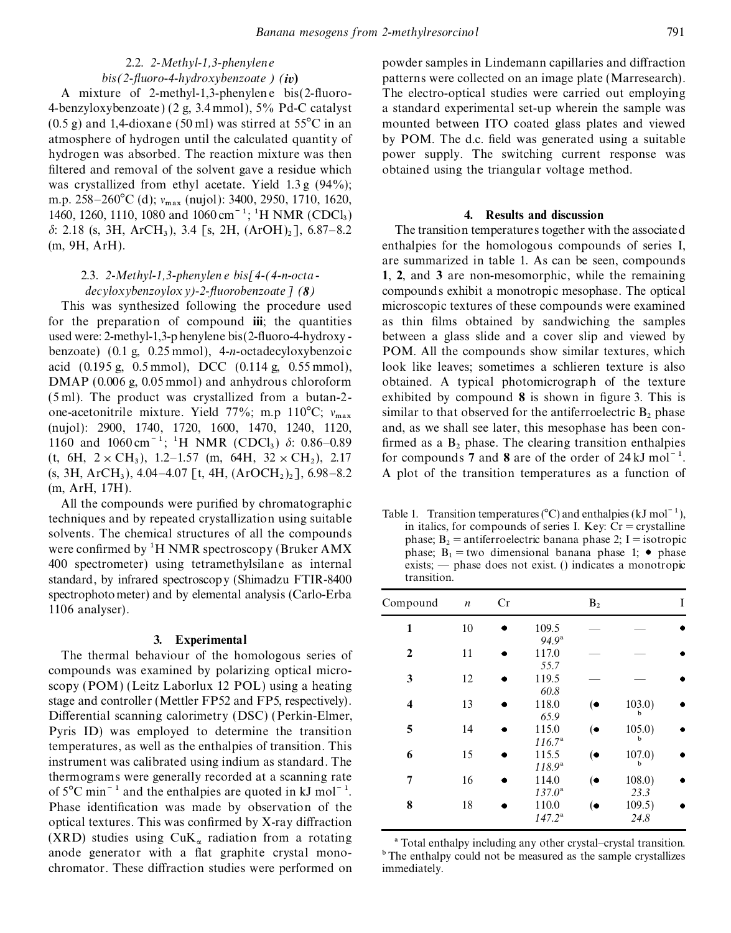filtered and removal of the solvent gave a residue which obtained using the triangular voltage method. was crystallized from ethyl acetate. Yield 1.3 g (94%); m.p. 258–260°C (d);  $v_{\text{max}}$  (nujol): 3400, 2950, 1710, 1620, 1460, 1260, 1110, 1080 and 1060 cm<sup>-1</sup>; <sup>1</sup>H NMR (CDCl<sub>3</sub>)  $\delta$ : 2.18 (s, 3H, ArCH<sub>3</sub>), 3.4 [s, 2H, (ArOH)<sub>2</sub>], 6.87–8.2 The transition temperatures together with the associated (m, 9H, ArH). enthalpies for the homologous compounds of series I,

for the preparation of compound **iii**; the quantities as thin films obtained by sandwiching the samples used were: 2-methyl-1,3-p henylene bis(2-fluoro-4-hydroxy - between a glass slide and a cover slip and viewed by benzoate) (0.1 g, 0.25 mmol), 4-*n*-octadecyloxybenzoic POM. All the compounds show similar textures, which acid (0.195 g,0.5 mmol), DCC (0.114 g, 0.55 mmol), look like leaves; sometimes a schlieren texture is also DMAP (0.006 g, 0.05 mmol) and anhydrous chloroform obtained. A typical photomicrograph of the texture (5 ml). The product was crystallized from abutan-2- exhibited by compound **8** is shown in gure 3. This is one-acetonitrile mixture. Yield 77%; m.p 110°C;  $v_{\text{max}}$  similar to that observed for the antiferroelectric B<sub>2</sub> phase (nujol): 2900, 1740, 1720, 1600, 1470, 1240, 1120, and, as we shall see later, this mesophase has bee (nujol): 2900, 1740, 1720, 1600, 1470, 1240, 1120, 1160 and 1060 cm<sup>-1</sup>; <sup>1</sup>H NMR (CDCl<sub>3</sub>)  $\delta$ : 0.86–0.89 ), 1.2–1.57 (m, 64H,  $32 \times CH_2$ ), 2.17  $\left( \text{s, 3H, ArCH}_3 \right)$ , 4.04–4.07 [t, 4H,  $\left( \text{ArOCH}_2 \right)$ <sub>2</sub>] (m, ArH, 17H).

All the compounds were purified by chromatographic Table 1. Transition temperatures ( $^{\circ}$ C) and enthalpies (kJ mol<sup> $-1$ </sup>), techniques and by repeated crystallization using suitable in italics, for compounds of series I. Key: Cr = crystalline solvents. The chemical structures of all the compounds phase;  $B_2$  = antiferroelectric banana phase 2; I = isotropic<br>were confirmed by <sup>1</sup>H NMR spectroscopy (Bruker AMX<br>phase;  $B_1$  = two dimensional banana phase 1; • ph were confirmed by <sup>1</sup>H NMR spectroscopy (Bruker AMX 400 spectrometer) using tetramethylsilane as internal standard, by infrared spectroscopy (Shimadzu FTIR-8400 transition. spectrophotometer) and by elemental analysis (Carlo-Erba 1106 analyser).

### **3. Experimental** *94.9*a

The thermal behaviour of the homologous series of compounds was examined by polarizing optical micro-<br> **32.5 scopy (POM) (Leitz Laborlux 12 POL)** using a heating stage and controller (Mettler FP52 and FP5, respectively). Differential scanning calorimetry (DSC) (Perkin-Elmer, Pyris ID) was employed to determine the transition temperatures, as well as the enthalpies of transition. This<br>instrument was calibrated using indium as standard. The<br>thermograms were generally recorded at a scanning rate of  $5^{\circ}$ C min<sup>-1</sup> and the enthalpies are quoted in kJ mol<sup>-1</sup>. Phase identification was made by observation of the *p*optical textures. This was confirmed by X-ray diffraction (XRD) studies using  $CuK_{\alpha}$  radiation from a rotating<br>anode generator with a flat graphite crystal mono-<br> $\overline{C}$  The enthalpy including any other crystal-crystal transition. chromator. These diffraction studies were performed on immediately.

2.2. 2-Methyl-1,3-phenylene powder samples in Lindemann capillaries and diffraction *bis(2- uoro-4-hydroxybenzoate ) (iv***)** patterns were collected on an image plate (Marresearch). A mixture of 2-methyl-1,3-phenylene bis(2-fluoro- The electro-optical studies were carried out employing 4-benzyloxybenzoate ) (2 g,3.4 mmol), 5% Pd-C catalyst a standard experimental set-up wherein the sample was  $(0.5 \text{ g})$  and 1,4-dioxane (50 ml) was stirred at 55 $^{\circ}$ C in an mounted between ITO coated glass plates and viewed atmosphere of hydrogen until the calculated quantity of by POM. The d.c. field was generated using a suitable hydrogen was absorbed. The reaction mixture was then power supply. The switching current response was

### ) **4. Results and discussion**

are summarized in table 1. As can be seen, compounds 2.3. *2-Methyl-1,3-phenylen e bis[4-(4-n-octa -***1**, **2**, and **3** are non-mesomorphic, while the remaining *decyloxybenzoyloxy)-2- uorobenzoate] (8)* compounds exhibit a monotropic mesophase. The optical This was synthesized following the procedure used microscopic textures of these compounds were examined  $\overline{a}$ )  $\delta$ : 0.86–0.89 firmed as a B<sub>2</sub> phase. The clearing transition enthalpies for compounds 7 and 8 are of the order of  $24 \text{ kJ} \text{ mol}^{-1}$ . A plot of the transition temperatures as a function of

 $exists$ ; — phase does not exist. () indicates a monotropic

| Compound                | $\boldsymbol{n}$ | Cr |                            | B <sub>2</sub> |                | I |
|-------------------------|------------------|----|----------------------------|----------------|----------------|---|
| 1                       | 10               |    | 109.5                      |                |                |   |
| $\overline{2}$          | 11               |    | 94.9 <sup>a</sup><br>117.0 |                |                |   |
| 3                       | 12               |    | 55.7<br>119.5              |                |                |   |
| $\overline{\mathbf{4}}$ | 13               |    | 60.8<br>118.0              | (●             | 103.0)         |   |
| 5                       | 14               |    | 65.9<br>115.0              | $(\bullet$     | 105.0)         |   |
| 6                       | 15               |    | $116.7^{\rm a}$<br>115.5   | $(\bullet)$    | h<br>107.0)    |   |
| 7                       | 16               |    | $118.9^{\rm a}$<br>114.0   | $(\bullet)$    | b<br>108.0)    |   |
| 8                       | 18               |    | $137.0^{\rm a}$<br>110.0   | $(\bullet)$    | 23.3<br>109.5) |   |
|                         |                  |    | $147.2^{\rm a}$            |                | 24.8           |   |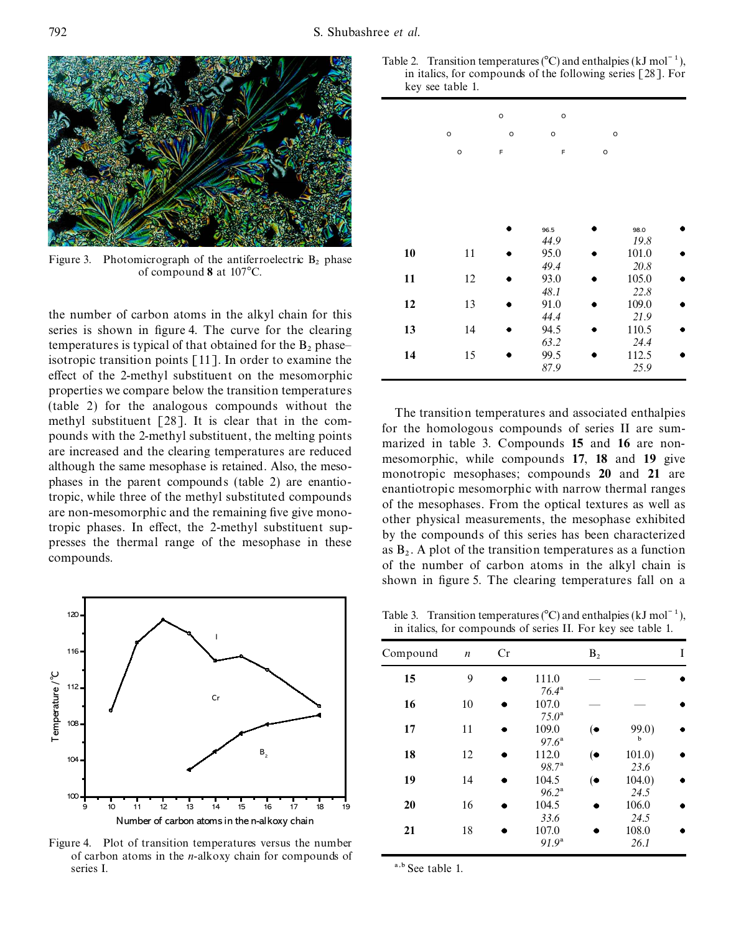

Figure 4. Plot of transiti of carbon atoms in the series I.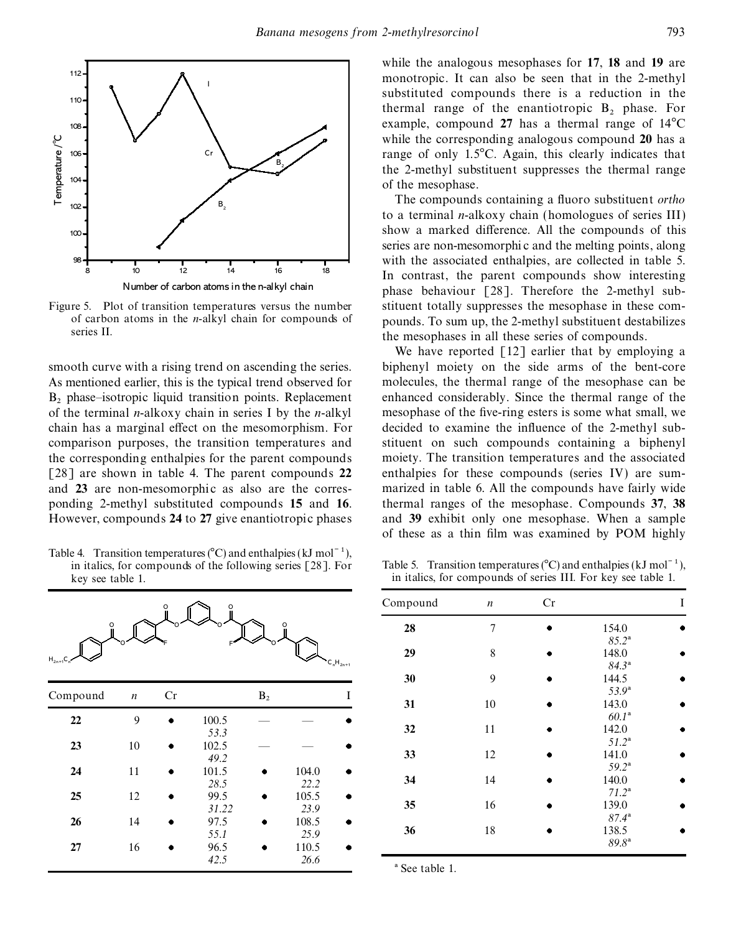

As mentioned earlier, this is the typical trend observed for molecules, the thermal range of the mesophase can be  $B_2$  phase–isotropic liquid transition points. Replacement of the terminal *n*-alkoxy chain in series I by the *n*-alkyl chain has a marginal effect on the mesomorphism. For decided to examine the influence of the 2-methyl subcomparison purposes, the transition temperatures and stituent on such compounds containing a biphenyl the corresponding enthalpies for the parent compounds moiety. The transition temperatures and the associated [28] are shown in table 4. The parent compounds **22** enthalpies for these compounds (series IV) are sum and 23 are non-mesomorphic as also are the corres- marized in table 6. All the compounds have fairly wide ponding 2-methyl substituted compounds **15** and **16**. thermal ranges of the mesophase. Compounds **37**, **38** However, compounds **24** to **27** give enantiotropic phases and **39** exhibit only one mesophase. When a sample

Table 4. Transition temperatures ( $^{\circ}$ C) and enthalpies (kJ mol<sup>-1</sup>), in italics, for compounds of the following series [28]. For

|               |                  | O         |               |                |                    | Compound                  | $\boldsymbol{n}$ | Cr |                            |
|---------------|------------------|-----------|---------------|----------------|--------------------|---------------------------|------------------|----|----------------------------|
|               |                  |           |               |                |                    | 28                        | 7                | ۰  | 154.0<br>$85.2^{\rm a}$    |
| $H_{2n+1}C_n$ |                  |           |               |                | $C_nH_{2n+1}$      | 29                        | 8                | ٠  | 148.0<br>84.3 <sup>a</sup> |
|               |                  |           |               |                |                    | 30                        | 9                |    | 144.5                      |
| Compound      | $\boldsymbol{n}$ | Cr        |               | $\mathbf{B}_2$ | 1                  | 31                        | 10               | ٠  | $53.9^{\rm a}$<br>143.0    |
| 22            | 9                | $\bullet$ | 100.5<br>53.3 |                |                    | 32                        | 11               | ۰  | 60.1 <sup>a</sup><br>142.0 |
| 23            | $10\,$           | $\bullet$ | 102.5<br>49.2 |                |                    | 33                        | 12               | ۰  | 51.2 <sup>a</sup><br>141.0 |
| 24            | 11               | $\bullet$ | 101.5<br>28.5 | ٠              | 104.0<br>22.2      | 34                        | 14               |    | $59.2^{\rm a}$<br>140.0    |
| 25            | 12               | ٠         | 99.5<br>31.22 | $\bullet$      | 105.5<br>٠<br>23.9 | 35                        | 16               |    | $71.2^a$<br>139.0          |
| 26            | 14               | ۰         | 97.5<br>55.1  | $\bullet$      | 108.5<br>٠<br>25.9 | 36                        | 18               | ٠  | $87.4^{\rm a}$<br>138.5    |
| 27            | 16               | ۰         | 96.5<br>42.5  | ٠              | 110.5<br>٠<br>26.6 |                           |                  |    | 89.8 <sup>a</sup>          |
|               |                  |           |               |                |                    | <sup>a</sup> See table 1. |                  |    |                            |

while the analogous mesophases for **17**, **18** and **19** are monotropic. It can also be seen that in the 2-methyl substituted compounds there is a reduction in the thermal range of the enantiotropic  $B_2$  phase. For example, compound 27 has a thermal range of  $14^{\circ}$ C while the corresponding analogous compound **20** has a range of only  $1.5^{\circ}$ C. Again, this clearly indicates that the 2-methyl substituent suppresses the thermal range of the mesophase.

The compounds containing a fluoro substituent *ortho* to a terminal *n*-alkoxy chain (homologues of series III) show a marked difference. All the compounds of this series are non-mesomorphic and the melting points, along with the associated enthalpies, are collected in table 5. In contrast, the parent compounds show interesting phase behaviour [28]. Therefore the 2-methyl sub-Figure 5. Plot of transition temperatures versus the number stituent totally suppresses the mesophase in these com-<br>of carbon atoms in the *n*-alkyl chain for compounds of pounds. To sum up, the 2-methyl substituent destab of carbon atoms in the *n*-alkyl chain for compounds of pounds. To sum up, the 2-methyl substituent destabilizes series II. the mesophases in all these series of compounds.

We have reported  $\lceil 12 \rceil$  earlier that by employing a smooth curve with a rising trend on ascending the series. biphenyl moiety on the side arms of the bent-core enhanced considerably. Since the thermal range of the mesophase of the five-ring esters is some what small, we of these as a thin film was examined by POM highly

Table 5. Transition temperatures ( $^{\circ}$ C) and enthalpies (kJ mol<sup>-1</sup>), key see table 1. in italics, for compounds of series III. For key see table 1.

|               |                |               | Compound | $\boldsymbol{n}$ | Cr |                            | 1 |
|---------------|----------------|---------------|----------|------------------|----|----------------------------|---|
| Ό             |                |               | 28       | 7                |    | 154.0                      |   |
|               |                | $C_nH_{2n+1}$ | 29       | 8                |    | $85.2^{\rm a}$<br>148.0    |   |
|               |                |               | 30       | 9                |    | $84.3^a$<br>144.5          |   |
|               | $\mathbf{B}_2$ |               | п<br>31  | 10               |    | $53.9^a$<br>143.0          |   |
| 00.5<br>53.3  |                |               | 32       | 11               |    | 60.1 <sup>a</sup><br>142.0 |   |
| 02.5<br>49.2  |                |               | 33       | 12               |    | $51.2^{\rm a}$<br>141.0    |   |
| 01.5<br>28.5  |                | 104.0<br>22.2 | 34       | 14               |    | $59.2^{\rm a}$<br>140.0    |   |
| 99.5<br>31.22 |                | 105.5<br>23.9 | 35       | 16               |    | $71.2^{\rm a}$<br>139.0    |   |
| 97.5<br>55.1  |                | 108.5<br>25.9 | 36       | 18               |    | $87.4^{\rm a}$<br>138.5    |   |
| 96.5          |                | 110.5         |          |                  |    | 89.8 <sup>a</sup>          |   |

a See table 1.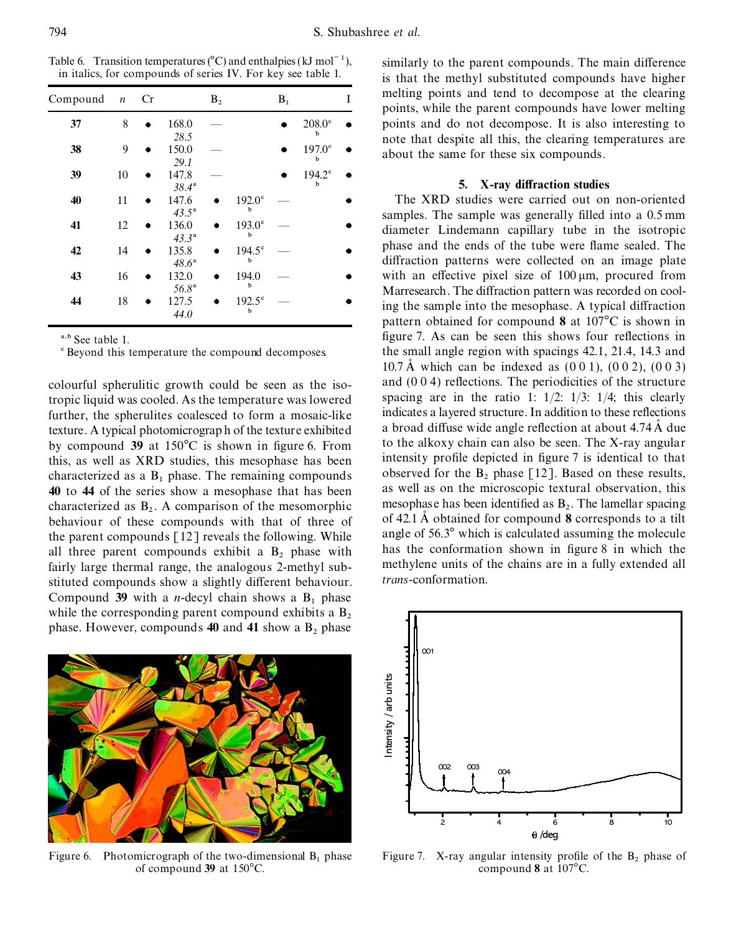Table 6. Transition temperatures  $(C)$  and enthalpies (kJ mol<sup> $-1$ </sup>), similarly to the parent compounds. The main difference in italics, for compounds of series IV. For key see table 1.

| Compound | $\boldsymbol{n}$ | Cr |                         | B <sub>2</sub> |                                | $B_1$ |                                | Ī |  |
|----------|------------------|----|-------------------------|----------------|--------------------------------|-------|--------------------------------|---|--|
| 37       | 8                |    | 168.0                   |                |                                |       | $208.0^\circ$<br>$\mathbf b$   |   |  |
| 38       | 9                |    | 28.5<br>150.0           |                |                                |       | $197.0^{\circ}$<br>b           |   |  |
| 39       | 10               |    | 29.1<br>147.8           |                |                                |       | $194.2^{\circ}$<br>$\mathbf b$ |   |  |
| 40       | 11               |    | $38.4^{\rm a}$<br>147.6 |                | $192.0^\circ$<br>$\mathbf b$   |       |                                |   |  |
| 41       | 12               |    | $43.5^{\rm a}$<br>136.0 |                | $193.0^\circ$<br>$\mathbf b$   |       |                                |   |  |
| 42       | 14               |    | $43.3^{\rm a}$<br>135.8 |                | $194.5^{\circ}$<br>$\mathbf b$ |       |                                |   |  |
| 43       | 16               |    | $48.6^{\circ}$<br>132.0 |                | 194.0<br>b                     |       |                                |   |  |
| 44       | 18               |    | $56.8^{\rm a}$<br>127.5 |                | $192.5^{\circ}$<br>b           |       |                                |   |  |
|          |                  |    | 44.0                    |                |                                |       |                                |   |  |

fairly large thermal range, the analogous 2-methyl substituted compounds show a slightly different behaviour. *trans*-conformation. Compound **39** with a *n*-decyl chain shows a  $B_1$  phase while the corresponding parent compound exhibits a  $B_2$ while the corresponding parent compound exhibits a  $B_2$  phase. However, compounds **40** and **41** show a  $B_2$  phase

Figure 6. Photomicrograph of the two-dimensional  $B_1$  phase  $\frac{1}{2}$  Figure 7. X-ray angular intensity profile of the  $B_2$  phase of of compound 39 at 150°C. of compound 39 at 150°C.

is that the methyl substituted compounds have higher melting points and tend to decompose at the clearing points, while the parent compounds have lower melting points and do not decompose. It is also interesting to note that despite all this, the clearing temperatures are about the same for these six compounds.

### **5.** X-ray diffraction studies

The XRD studies were carried out on non-oriented samples. The sample was generally filled into a 0.5 mm diameter Lindemann capillary tube in the isotropic phase and the ends of the tube were flame sealed. The diffraction patterns were collected on an image plate with an effective pixel size of  $100 \mu m$ , procured from *Marresearch*. The diffraction pattern was recorded on cool-<br>ing the sample into the mesophase. A typical diffraction pattern obtained for compound 8 at 107<sup>°</sup>C is shown in <sup>a,b</sup> See table 1.<br>
<sup>e</sup> Beyond this temperature the compound decomposes the small angle region with spacings 42.1, 21.4, 14.3 and<br>
<sup>e</sup> Beyond this temperature the compound decomposes the small angle region with spacings  $42.1$ ,  $21.4$ ,  $14.3$  and 10.7 Å which can be indexed as  $(0\ 0\ 1)$ ,  $(0\ 0\ 2)$ ,  $(0\ 0\ 3)$ colourful spherulitic growth could be seen as the iso-<br>tropic liquid was cooled As the temperature was lowered spacing are in the ratio 1:  $1/2$ :  $1/3$ :  $1/4$ ; this clearly tropic liquid was cooled. As the temperature was lowered spacing are in the ratio 1:  $1/2$ :  $1/3$ :  $1/4$ ; this clearly further the spherulites coalesced to form a mosaic-like indicates a layered structure. In addition to further, the spherulites coalesced to form a mosaic-like indicates a layered structure. In addition to these reflections texture A typical photomicrograph of the texture exhibited a broad diffuse wide angle reflection at a texture. A typical photomicrograph of the texture exhibited a broad diffuse wide angle reflection at about 4.74 A due<br>to the alkoxy chain can also be seen. The X-ray angular by compound **39** at 150°C is shown in figure 6. From to the alkoxy chain can also be seen. The X-ray angular this as well as XRD studies this mesophase has been intensity profile depicted in figure 7 is identical to that this, as well as XRD studies, this mesophase has been intensity profile depicted in figure 7 is identical to that characterized as a B, phase. The remaining compounds observed for the  $B_2$  phase  $\lceil 12 \rceil$ . Based on the characterized as a  $B_1$  phase. The remaining compounds observed for the  $B_2$  phase [12]. Based on these results, **40** to **44** of the series show a mesophase that has been as well as on the microscopic textural observati **40** to **44** of the series show a mesophase that has been as well as on the microscopic textural observation, this characterized as  $B_2$ . A comparison of the mesomorphic mesophase has been identified as  $B_2$ . The lamell characterized as  $B_2$ . A comparison of the mesomorphic mesophase has been identified as  $B_2$ . The lamellar spacing behaviour of these compounds with that of three of of 42.1 Å obtained for compound **8** corresponds to a tilt the parent compounds  $\begin{bmatrix} 12 \end{bmatrix}$  reveals the following. While angle of 56.3° which is calculated assuming the molecule all three parent compounds exhibit a B<sub>2</sub> phase with has the conformation shown in figure 8 in w all three parent compounds exhibit a  $B_2$  phase with has the conformation shown in figure 8 in which the latter is a fully extended all methylene units of the chains are in a fully extended all

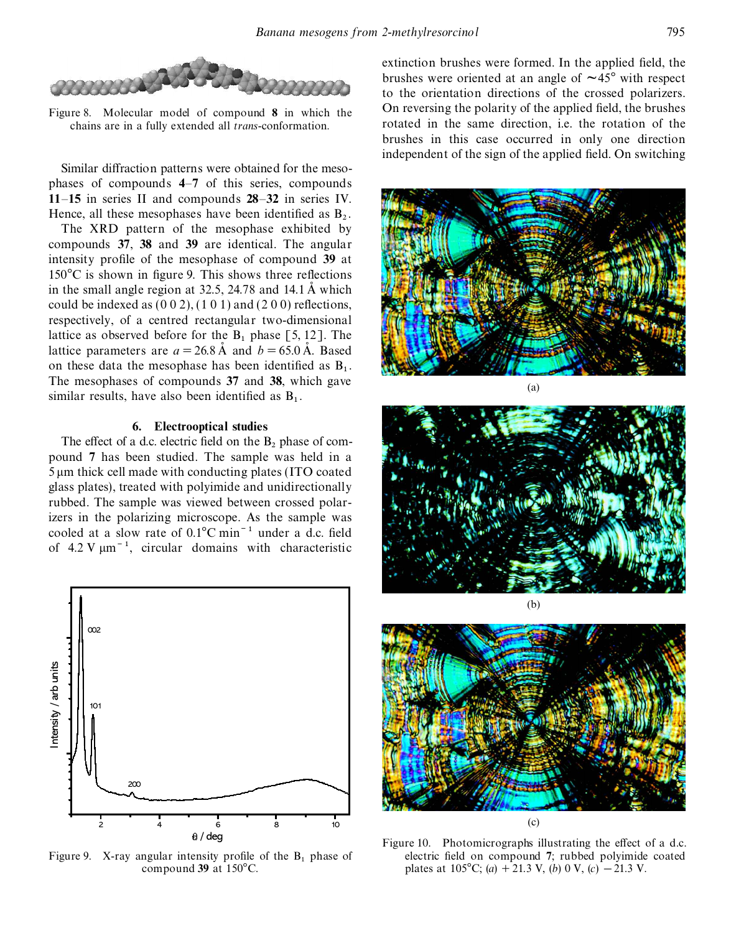

chains are in a fully extended all *trans*-conformation.

Similar diffraction patterns were obtained for the mesophases of compounds **4**–**7** of this series, compounds **11**–**15** in series II and compounds **28**–**32** in series IV. Hence, all these mesophases have been identified as  $B_2$ .

The XRD pattern of the mesophase exhibited by compounds **37**, **38** and **39** are identical. The angular intensity profile of the mesophase of compound 39 at  $150^{\circ}$ C is shown in figure 9. This shows three reflections in the small angle region at  $32.5$ ,  $24.78$  and  $14.1 \text{ Å}$  which could be indexed as  $(0 0 2)$ ,  $(1 0 1)$  and  $(2 0 0)$  reflections, respectively, of a centred rectangular two-dimensional lattice as observed before for the  $B_1$  phase [5, 12]. The lattice parameters are  $a = 26.8 \text{ Å}$  and  $b = 65.0 \text{ Å}$ . Based on these data the mesophase has been identified as  $B_1$ . The mesophases of compounds **37** and **38**, which gave similar results, have also been identified as  $B_1$ .

### **6. Electrooptical studies**

The effect of a d.c. electric field on the  $B_2$  phase of com-<br>pound 7 has been studied. The sample was held in a 5 um thick cell made with conducting plates (ITO coated glass plates), treated with polyimide and unidirectionally rubbed. The sample was viewed between crossed polarizers in the polarizing microscope. As the sample was cooled at a slow rate of  $0.1^{\circ}$ C min<sup>-1</sup> under a d.c. field of 4.2 V  $\mu$ m<sup>-1</sup>, circular domains with characteristic



extinction brushes were formed. In the applied field, the brushes were oriented at an angle of  $\sim$ 45 $\degree$  with respect to the orientation directions of the crossed polarizers. Figure 8. Molecular model of compound 8 in which the On reversing the polarity of the applied field, the brushes chains are in a fully extended all trans-conformation rotated in the same direction, i.e. the rotation of the brushes in this case occurred in only one direction independent of the sign of the applied field. On switching







Figure 10. Photomicrographs illustrating the effect of a d.c. Figure 9. X-ray angular intensity profile of the B<sub>1</sub> phase of electric field on compound 7; rubbed polyimide coated compound 39 at 150°C.<br>
plates at 105°C; (a) + 21.3 V, (b) 0 V, (c) - 21.3 V. plates at 105°C; (*a*) + 21.3 V, (*b*) 0 V, (*c*)  $-$  21.3 V.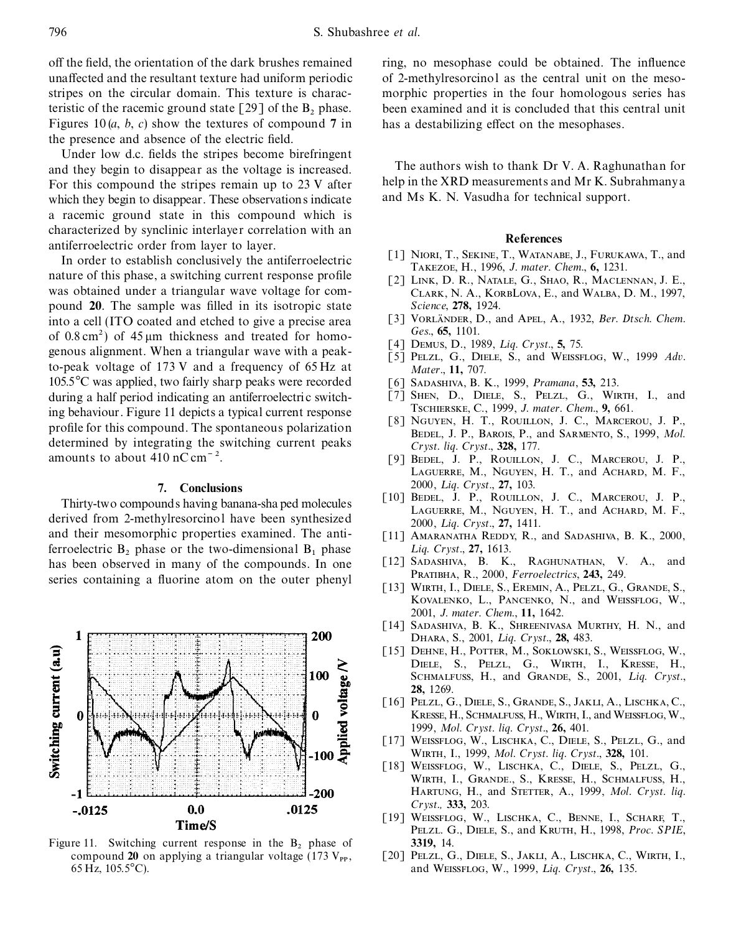off the field, the orientation of the dark brushes remained ring, no mesophase could be obtained. The influence teristic of the racemic ground state  $\lceil 29 \rceil$  of the  $B_2$  phase. Figures 10  $(a, b, c)$  show the textures of compound 7 in the presence and absence of the electric field.

Under low d.c. fields the stripes become birefringent and they begin to disappear as the voltage is increased. The authors wish to thank Dr V. A. Raghunathan for<br>For this compound the stripes remain up to 23 V after help in the XRD measurements and Mr K. Subrahmanya For this compound the stripes remain up to 23 V after help in the XRD measurements and Mr K. Subingthe help in the XRD measurements and Mr K. Subingthe help in the XRD measurements and Mr K. Subingthe help which they begi which they begin to disappear. These observations indicate a racemic ground state in this compound which is

characterized by synclinic interlayer correlation with an<br>antiferroelectric order from layer to layer.<br>In order to establish conclusively the antiferroelectric<br>antiferroelectric T1 NIORI, T., SEKINE, T., WATANABE, J., FURU was obtained under a triangular wave voltage for com-<br>CLARK, N. A., KORBLOVA, E., and WALBA, D. M., 1997, pound **20**. The sample was filled in its isotropic state *Science*, **278**, 1924.<br>
If I VORLÄNDER, D., and APEL, A., 1932, *Ber. Dtsch. Chem.*<br>
If I VORLÄNDER, D., and APEL, A., 1932, *Ber. Dtsch. Chem.* into a cell (ITO coated and etched to give a precise area [3] VORLÄNDER, I<br>
of 0.8 cm<sup>2</sup>), of 45 um this gases and tracted for home *Ges.* **65,** 1101. *Ges*., **65,** 1101. of 0.8 cm2) of <sup>45</sup> <sup>m</sup><sup>m</sup> thickness and treated for homo- [4] <sup>D</sup>emus, <sup>D</sup>., <sup>1989</sup>, *<sup>L</sup> iq. Cryst*., **5,** 75. to-peak voltage of 173 V and a frequency of 65 Hz at *Mater.*, 11, 707.<br>105.5<sup>o</sup>C was applied, two fairly sharp peaks were recorded [6] SADASHIVA, B. K., 1999, *Pramana*, 53, 213. 105.5<sup>°</sup>C was applied, two fairly sharp peaks were recorded [6] SADASHIVA, B. K., 1999, *Pramana*, **53**, 213.<br>
during a half period indicating an antiferroelectric switch-[7] SHEN, D., DIELE, S., PELZL, G., WIRTH, I., and during a half period indicating an antiferroelectric switch- [7] SHEN, D., DIELE, S., PELZL, G., WIRTH ing behaviour Figure 11 depicts a typical current response TSCHIERSKE, C., 1999, J. mater. Chem., 9, 661. ISCHIERSKE, C., 1999, *J. mater. Chem.*, **9,** 661.<br> **1999**, *J. mater. Chem.*, **9,** 661.<br> **1999**, *J. mater. Chem.*, **9,** 661.<br> **1999**, *J. mater. Chem.*, **9,** 661.<br> **1999**, *J. mater. Chem.*, **9**, 661. profile for this compound. The spontaneous polarization BEDEL, J. P., BAROIS, P., and SARMENTO, S., 1999, *Mol.* determined by integrating the switching current peaks  $Cryst.$  *liq.*  $Cryst.$  **177. and the start of the start of the start of the BOUTLON** 

Thirty-two compounds having banana-shaped molecules [10] BEDEL, J. P., ROULLON, J. C., MARCEROU, J. P., derived from 2-methylresorcinol have been synthesized<br>and their mesomorphic properties examined. The anti-<br>and their m ferroelectric  $B_2$  phase or the two-dimensional  $B_1$  phase *Liq. Cryst.*, 27, 1613. has been observed in many of the compounds. In one PRATIBHA, R., 2000, *Ferroelectrics*, **243**, 249.<br>
[13] WIRTH, I., DIELE, S., EREMIN, A., PELZL, G., GRANDE, S., CRANDE, S.,



Figure 11. Switching current response in the  $B_2$  phase of 3319, 14. compound 20 on applying a triangular voltage (173  $V_{PP}$ , [20] PELZL, G

unaffected and the resultant texture had uniform periodic of 2-methylresorcinol as the central unit on the mesostripes on the circular domain. This texture is charac- morphic properties in the four homologous series has been examined and it is concluded that this central unit has a destabilizing effect on the mesophases.

- 
- 
- 
- 
- $\bar{[}5\bar{]}$  PELZL, G., DIELE, S., and WEISSFLOG, W., 1999 *Adv.* Mater., 11, 707.
- 
- 
- 
- [9] BEDEL, J. P., ROUILLON, J. C., MARCEROU, J. P., Laguerre, M., Nguyen, H. T., and Achard, M. F., 2000, *L iq. Cryst*., **27,** 103. **7. Conclusions**
	-
	- [11] AMARANATHA REDDY, R., and SADASHIVA, B. K., 2000,
	- [12] Sadashiva, B. K., Raghunathan, V. A., and
	- Kovalenko, L., Pancenko, N., and Weissflog, W., 2001, *J. mater. Chem*., **11,** 1642.
	- [14] Sadashiva, B. K., Shreenivasa Murthy, H. N., and Dhara, S., 2001, *L iq. Cryst*., **28,** 483.
	- [15] DEHNE, H., POTTER, M., SOKLOWSKI, S., WEISSFLOG, W., Diele, S., Pelzl, G., Wirth, I., Kresse, H., SCHMALFUSS, H., and GRANDE, S., 2001, Liq. Cryst., **28,** 1269.
	- [16] Pelzl, G., Diele, S., Grande, S., Jakli, A., Lischka, C., Kresse, H., Schmalfuss, H., Wirth, I., and Weissflog, W., 1999, *Mol. Cryst. liq. Cryst*., **26,** 401.
	- [17] WEISSFLOG, W., LISCHKA, C., DIELE, S., PELZL, G., and Wirth, I., 1999, *Mol. Cryst. liq. Cryst*., **328,** 101.
	- [18] Weissflog, W., Lischka, C., Diele, S., Pelzl, G., Wirth, I., Grande., S., Kresse, H., Schmalfuss, H., Hartung, H., and Stetter, A., 1999, *Mol. Cryst. liq. Cryst.,* **333,** 203.
	- [19] Weissflog, W., Lischka, C., Benne, I., Scharf, T., Pelzl. G., Diele, S., and Kruth, H., 1998, *Proc. SPIE*,
- compound 20 on applying a triangular voltage (173 V<sub>PP</sub>, [20] PELZL, G., DIELE, S., JAKLI, A., LISCHKA, C., WIRTH, I., 65 Hz, 105.5°C). and WEISSFLOG, W., 1999, *Liq. Cryst.*, 26, 135.